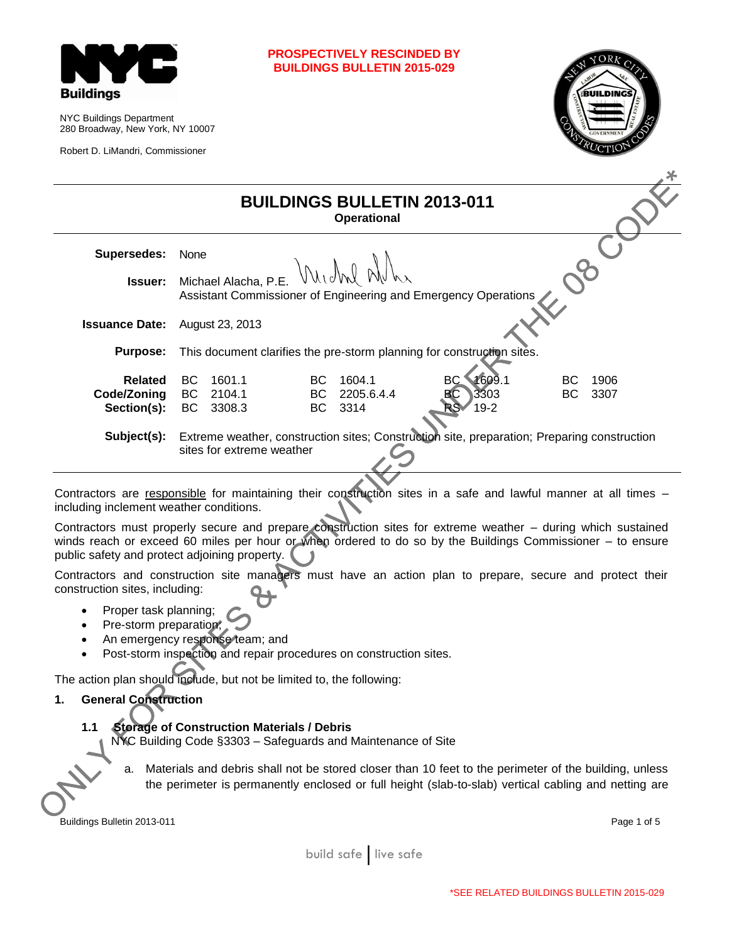

NYC Buildings Department 280 Broadway, New York, NY 10007

Robert D. LiMandri, Commissioner

|                                              |                                                                        |                            |                   | <b>BUILDINGS BULLETIN 2013-011</b><br><b>Operational</b> |                                                                                             |          |              |
|----------------------------------------------|------------------------------------------------------------------------|----------------------------|-------------------|----------------------------------------------------------|---------------------------------------------------------------------------------------------|----------|--------------|
| <b>Supersedes:</b>                           | None                                                                   |                            |                   |                                                          |                                                                                             |          |              |
| Issuer:                                      |                                                                        | Michael Alacha, P.E.       |                   | Michal Alle                                              | Assistant Commissioner of Engineering and Emergency Operations                              |          |              |
| <b>Issuance Date:</b>                        |                                                                        | August 23, 2013            |                   |                                                          |                                                                                             |          |              |
| <b>Purpose:</b>                              | This document clarifies the pre-storm planning for construction sites. |                            |                   |                                                          |                                                                                             |          |              |
| <b>Related</b><br>Code/Zoning<br>Section(s): | BC<br>BC<br><b>BC</b>                                                  | 1601.1<br>2104.1<br>3308.3 | BC.<br>BC.<br>BC. | 1604.1<br>2205.6.4.4<br>3314                             | 1609.1<br>BC.<br>ВC<br>3303<br>$19 - 2$                                                     | BC<br>BC | 1906<br>3307 |
| Subject(s):                                  |                                                                        | sites for extreme weather  |                   |                                                          | Extreme weather, construction sites; Construction site, preparation; Preparing construction |          |              |

winds reach or exceed 60 miles per hour or when ordered to do so by the Buildings Commissioner – to ensure public safety and protect adjoining property.

Contractors and construction site managers must have an action plan to prepare, secure and protect their construction sites, including:

- Proper task planning;
- Pre-storm preparation;
- An emergency response team; and
- Post-storm inspection and repair procedures on construction sites.

The action plan should include, but not be limited to, the following:

# **1. General Construction**

### **1.1 Storage of Construction Materials / Debris**

NYC Building Code §3303 – Safeguards and Maintenance of Site

a. Materials and debris shall not be stored closer than 10 feet to the perimeter of the building, unless the perimeter is permanently enclosed or full height (slab-to-slab) vertical cabling and netting are

**Buildings Bulletin 2013-011** Page 1 of 5

build safe live safe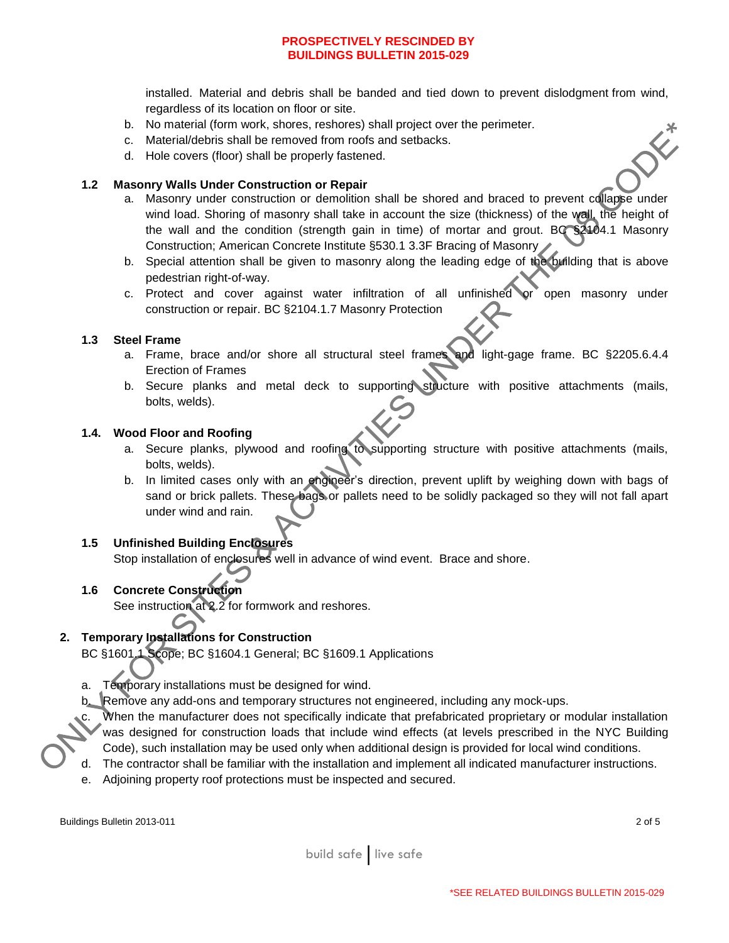installed. Material and debris shall be banded and tied down to prevent dislodgment from wind, regardless of its location on floor or site. DE

- b. No material (form work, shores, reshores) shall project over the perimeter.
- c. Material/debris shall be removed from roofs and setbacks.
- d. Hole covers (floor) shall be properly fastened.

### **1.2 Masonry Walls Under Construction or Repair**

- a. Masonry under construction or demolition shall be shored and braced to prevent collapse under wind load. Shoring of masonry shall take in account the size (thickness) of the wall, the height of the wall and the condition (strength gain in time) of mortar and grout. BC §2104.1 Masonry Construction; American Concrete Institute §530.1 3.3F Bracing of Masonry
- b. Special attention shall be given to masonry along the leading edge of the building that is above pedestrian right-of-way.
- c. Protect and cover against water infiltration of all unfinished or open masonry under construction or repair. BC §2104.1.7 Masonry Protection

## **1.3 Steel Frame**

- a. Frame, brace and/or shore all structural steel frames and light-gage frame. BC §2205.6.4.4 Erection of Frames
- b. Secure planks and metal deck to supporting structure with positive attachments (mails, bolts, welds).

### **1.4. Wood Floor and Roofing**

- a. Secure planks, plywood and roofing to supporting structure with positive attachments (mails, bolts, welds).
- b. In limited cases only with an engineer's direction, prevent uplift by weighing down with bags of sand or brick pallets. These bags or pallets need to be solidly packaged so they will not fall apart under wind and rain.

# **1.5 Unfinished Building Enclosures**

Stop installation of enclosures well in advance of wind event. Brace and shore.

# **1.6 Concrete Construction**

See instruction at 2.2 for formwork and reshores.

# **2. Temporary Installations for Construction**

BC §1601.1 Scope; BC §1604.1 General; BC §1609.1 Applications

- a. Temporary installations must be designed for wind.
- b. Remove any add-ons and temporary structures not engineered, including any mock-ups.

When the manufacturer does not specifically indicate that prefabricated proprietary or modular installation was designed for construction loads that include wind effects (at levels prescribed in the NYC Building Code), such installation may be used only when additional design is provided for local wind conditions.

- d. The contractor shall be familiar with the installation and implement all indicated manufacturer instructions.
- e. Adjoining property roof protections must be inspected and secured.

Buildings Bulletin 2013-011 2 of 5

build safe live safe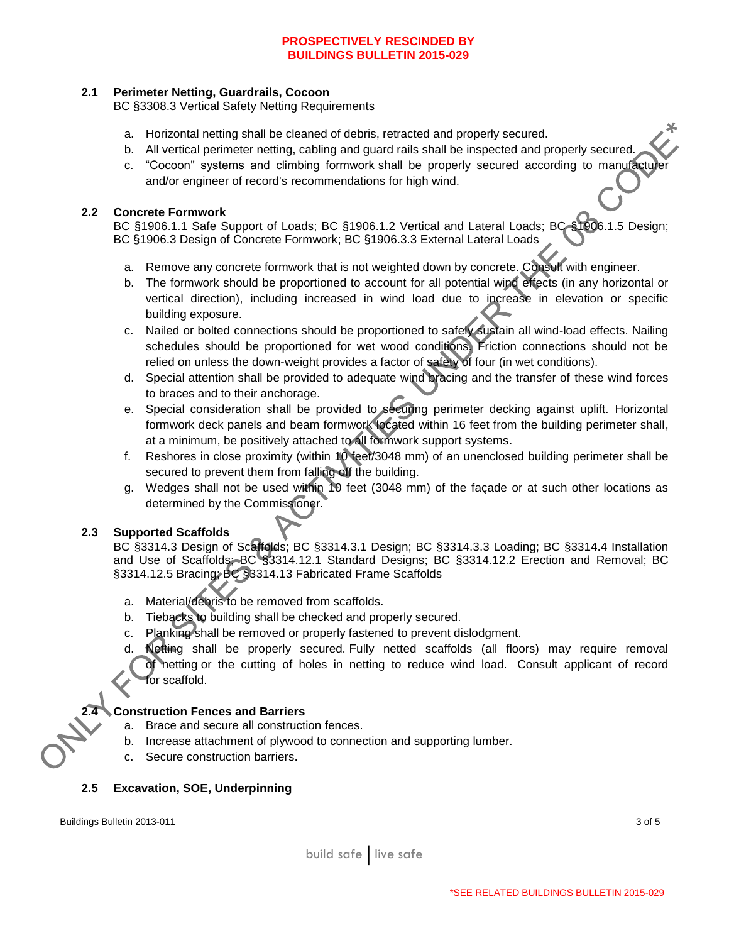## **2.1 Perimeter Netting, Guardrails, Cocoon**

BC §3308.3 Vertical Safety Netting Requirements

- a. Horizontal netting shall be cleaned of debris, retracted and properly secured.
- b. All vertical perimeter netting, cabling and guard rails shall be inspected and properly secured.
- c. "Cocoon" systems and climbing formwork shall be properly secured according to manufacturer and/or engineer of record's recommendations for high wind.

## **2.2 Concrete Formwork**

BC §1906.1.1 Safe Support of Loads; BC §1906.1.2 Vertical and Lateral Loads; BC §1906.1.5 Design; BC §1906.3 Design of Concrete Formwork; BC §1906.3.3 External Lateral Loads

- a. Remove any concrete formwork that is not weighted down by concrete. Consult with engineer.
- b. The formwork should be proportioned to account for all potential wind effects (in any horizontal or vertical direction), including increased in wind load due to increase in elevation or specific building exposure.
- c. Nailed or bolted connections should be proportioned to safely sustain all wind-load effects. Nailing schedules should be proportioned for wet wood conditions. Friction connections should not be relied on unless the down-weight provides a factor of safety of four (in wet conditions).
- d. Special attention shall be provided to adequate wind bracing and the transfer of these wind forces to braces and to their anchorage.
- e. Special consideration shall be provided to securing perimeter decking against uplift. Horizontal formwork deck panels and beam formwork located within 16 feet from the building perimeter shall, at a minimum, be positively attached to all formwork support systems.
- f. Reshores in close proximity (within 10 feet/3048 mm) of an unenclosed building perimeter shall be secured to prevent them from falling off the building.
- g. Wedges shall not be used within 10 feet (3048 mm) of the façade or at such other locations as determined by the Commissioner.

# **2.3 Supported Scaffolds**

BC §3314.3 Design of Scaffolds; BC §3314.3.1 Design; BC §3314.3.3 Loading; BC §3314.4 Installation and Use of Scaffolds; BC §3314.12.1 Standard Designs; BC §3314.12.2 Erection and Removal; BC §3314.12.5 Bracing; BC §3314.13 Fabricated Frame Scaffolds

- a. Material/debris to be removed from scaffolds.
- b. Tiebacks to building shall be checked and properly secured.
- c. Planking shall be removed or properly fastened to prevent dislodgment.
- d. Netting shall be properly secured. Fully netted scaffolds (all floors) may require removal of netting or the cutting of holes in netting to reduce wind load. Consult applicant of record for scaffold.

# **2.4 Construction Fences and Barriers**

- a. Brace and secure all construction fences.
- b. Increase attachment of plywood to connection and supporting lumber.
- c. Secure construction barriers.

### **2.5 Excavation, SOE, Underpinning**

Buildings Bulletin 2013-011 3 of 5

build safe live safe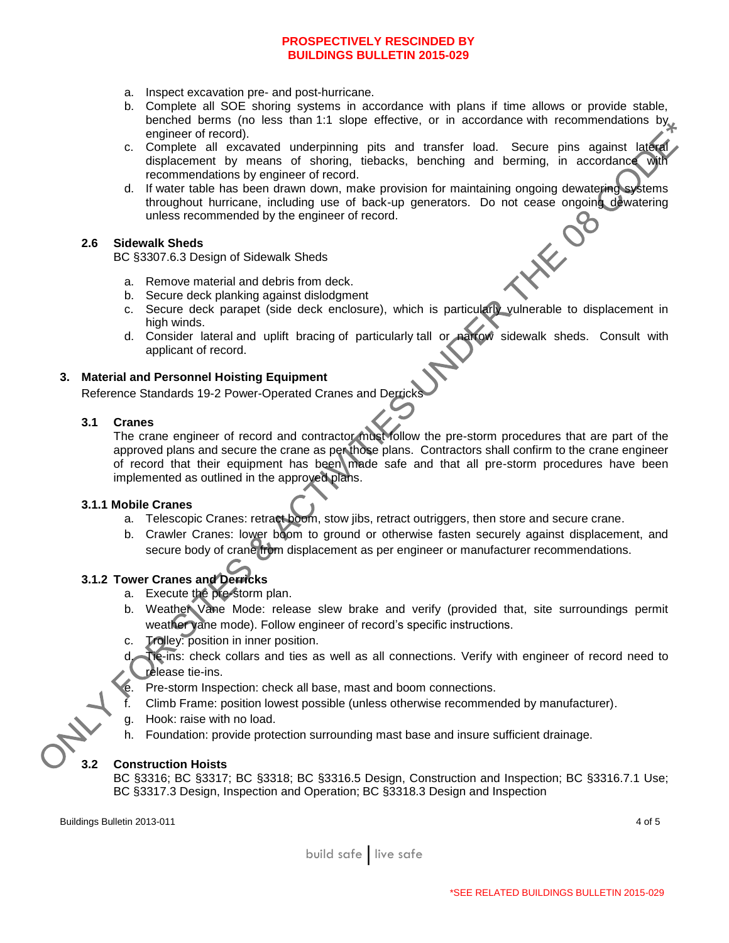- a. Inspect excavation pre- and post-hurricane.
- b. Complete all SOE shoring systems in accordance with plans if time allows or provide stable, benched berms (no less than 1:1 slope effective, or in accordance with recommendations by engineer of record).
- c. Complete all excavated underpinning pits and transfer load. Secure pins against lateral displacement by means of shoring, tiebacks, benching and berming, in accordance with recommendations by engineer of record.
- d. If water table has been drawn down, make provision for maintaining ongoing dewatering systems throughout hurricane, including use of back-up generators. Do not cease ongoing dewatering unless recommended by the engineer of record.

#### **2.6 Sidewalk Sheds**

BC §3307.6.3 Design of Sidewalk Sheds

- a. Remove material and debris from deck.
- b. Secure deck planking against dislodgment
- c. Secure deck parapet (side deck enclosure), which is particularly vulnerable to displacement in high winds.
- d. Consider lateral and uplift bracing of particularly tall or narrow sidewalk sheds. Consult with applicant of record.

### **3. Material and Personnel Hoisting Equipment**

Reference Standards 19-2 Power-Operated Cranes and Derricks

#### **3.1 Cranes**

The crane engineer of record and contractor must follow the pre-storm procedures that are part of the approved plans and secure the crane as per those plans. Contractors shall confirm to the crane engineer of record that their equipment has been made safe and that all pre-storm procedures have been implemented as outlined in the approved plans.

### **3.1.1 Mobile Cranes**

- a. Telescopic Cranes: retract boom, stow jibs, retract outriggers, then store and secure crane.
- b. Crawler Cranes: lower boom to ground or otherwise fasten securely against displacement, and secure body of crane from displacement as per engineer or manufacturer recommendations.

# **3.1.2 Tower Cranes and Derricks**

- a. Execute the pre-storm plan.
- b. Weather Vane Mode: release slew brake and verify (provided that, site surroundings permit weather vane mode). Follow engineer of record's specific instructions.
- c. Trolley: position in inner position.
- Tie-ins: check collars and ties as well as all connections. Verify with engineer of record need to release tie-ins.
- Pre-storm Inspection: check all base, mast and boom connections.
- f. Climb Frame: position lowest possible (unless otherwise recommended by manufacturer).
- g. Hook: raise with no load.
- h. Foundation: provide protection surrounding mast base and insure sufficient drainage.

### **3.2 Construction Hoists**

BC §3316; BC §3317; BC §3318; BC §3316.5 Design, Construction and Inspection; BC §3316.7.1 Use; BC §3317.3 Design, Inspection and Operation; BC §3318.3 Design and Inspection

Buildings Bulletin 2013-011 4 of 5

build safe live safe